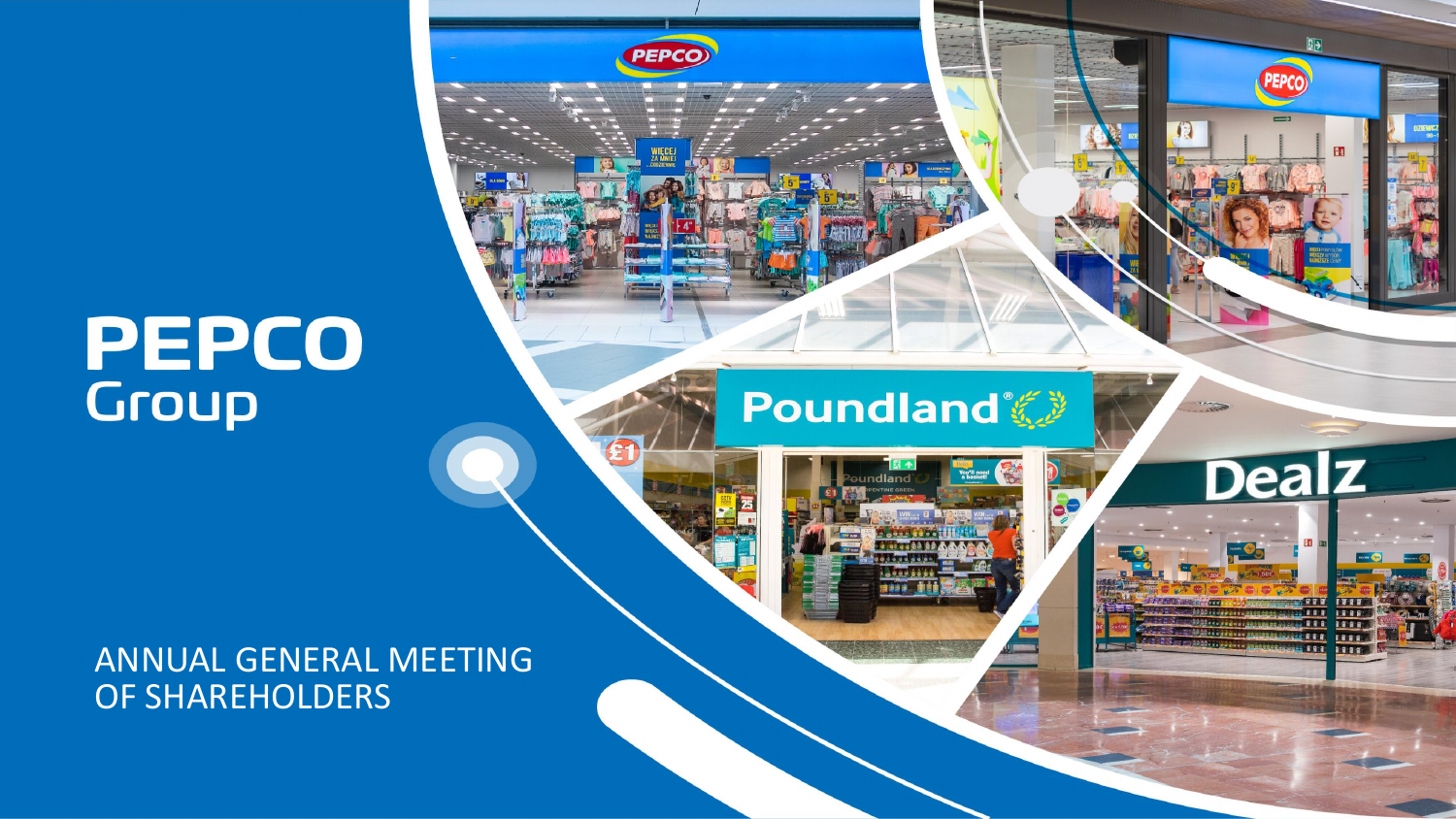# **PEPCO**<br>Group

#### ANNUAL GENERAL MEETING OF SHAREHOLDERS



**PEPCO** 





 $\frac{1}{2}$ 

困

PEPCO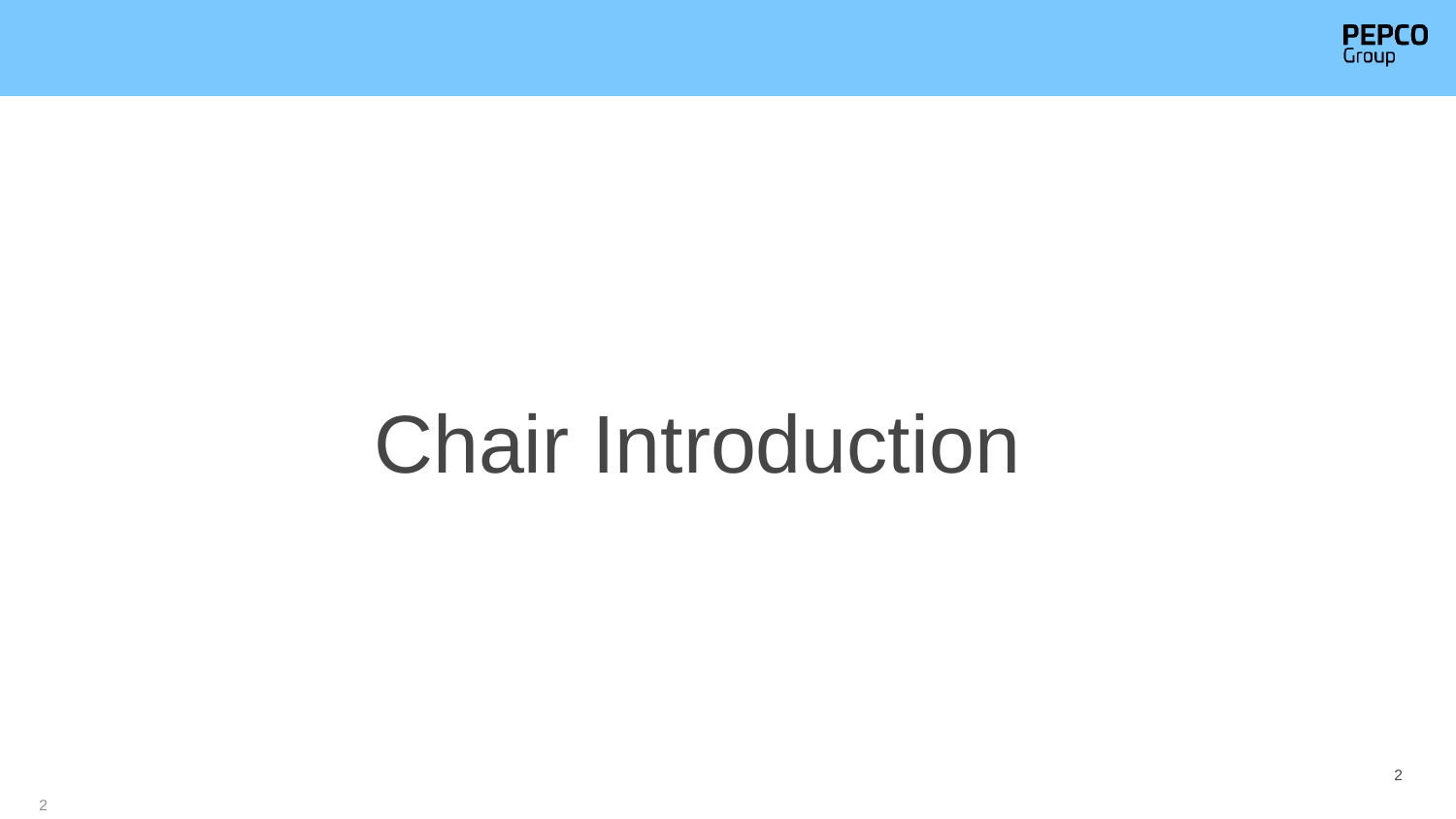

## Chair Introduction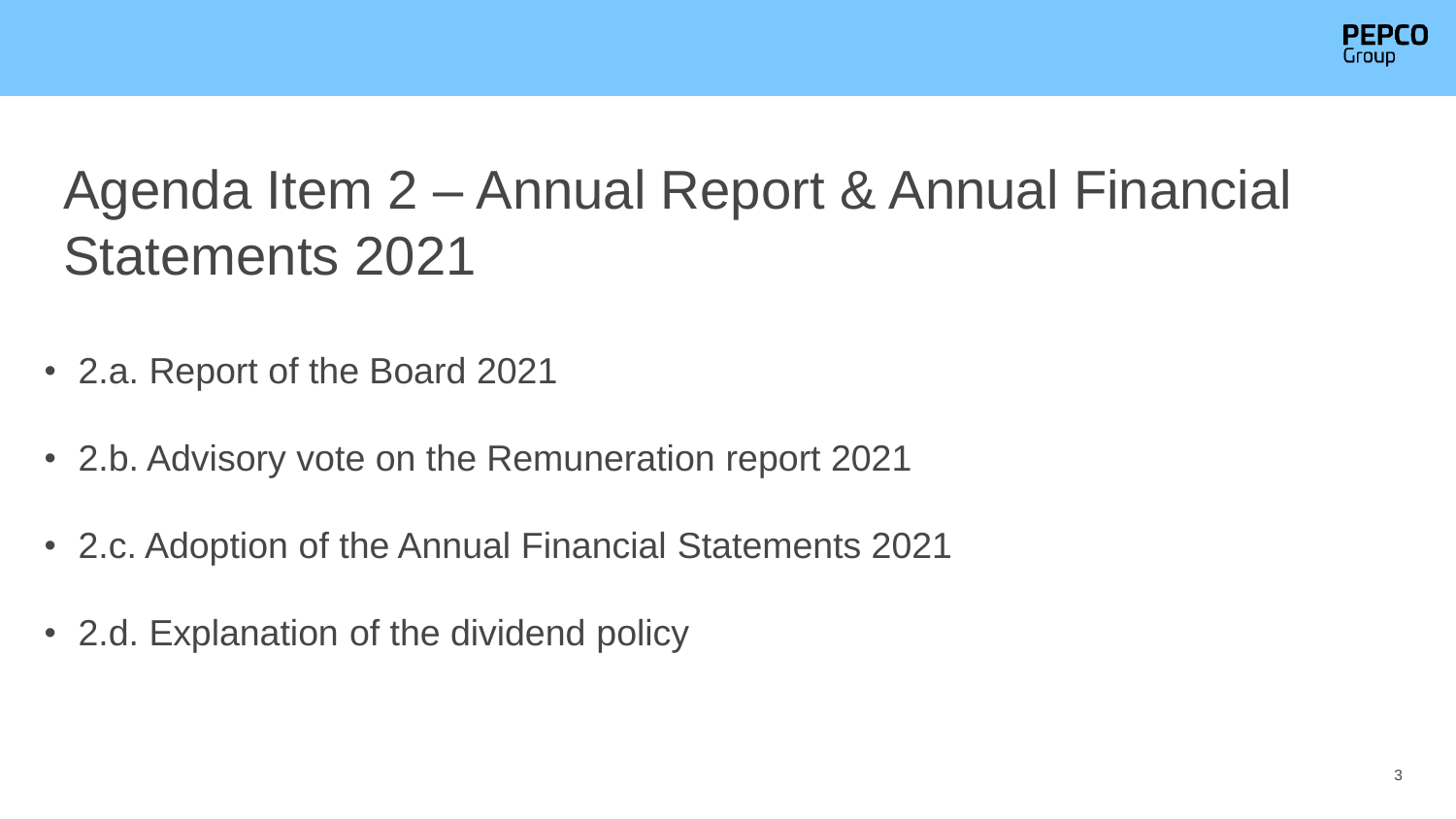

#### Agenda Item 2 – Annual Report & Annual Financial Statements 2021

- 2.a. Report of the Board 2021
- 2.b. Advisory vote on the Remuneration report 2021
- 2.c. Adoption of the Annual Financial Statements 2021
- 2.d. Explanation of the dividend policy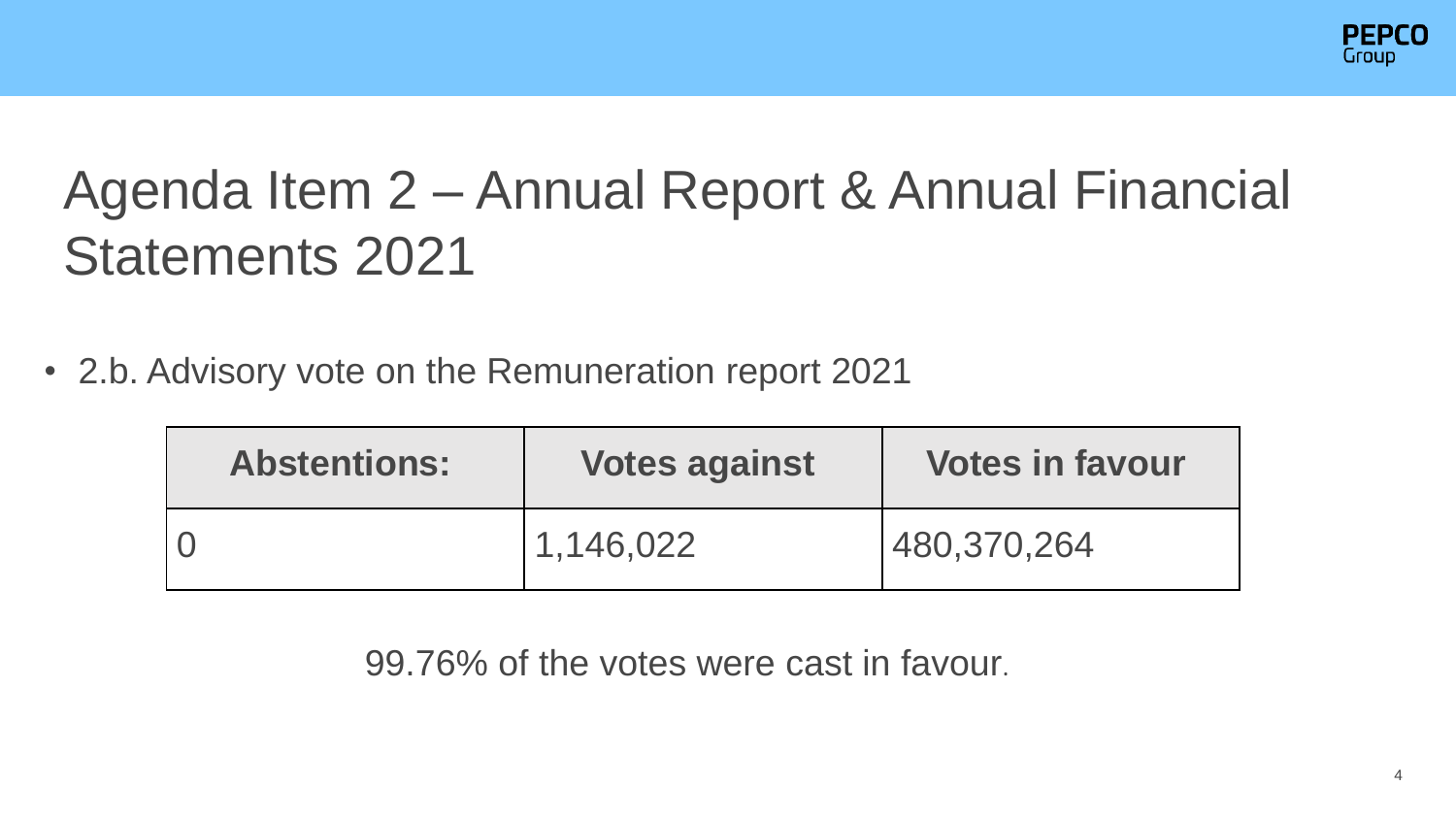

#### Agenda Item 2 – Annual Report & Annual Financial Statements 2021

• 2.b. Advisory vote on the Remuneration report 2021

| <b>Abstentions:</b> | <b>Votes against</b> | <b>Votes in favour</b> |
|---------------------|----------------------|------------------------|
|                     | 1,146,022            | 480,370,264            |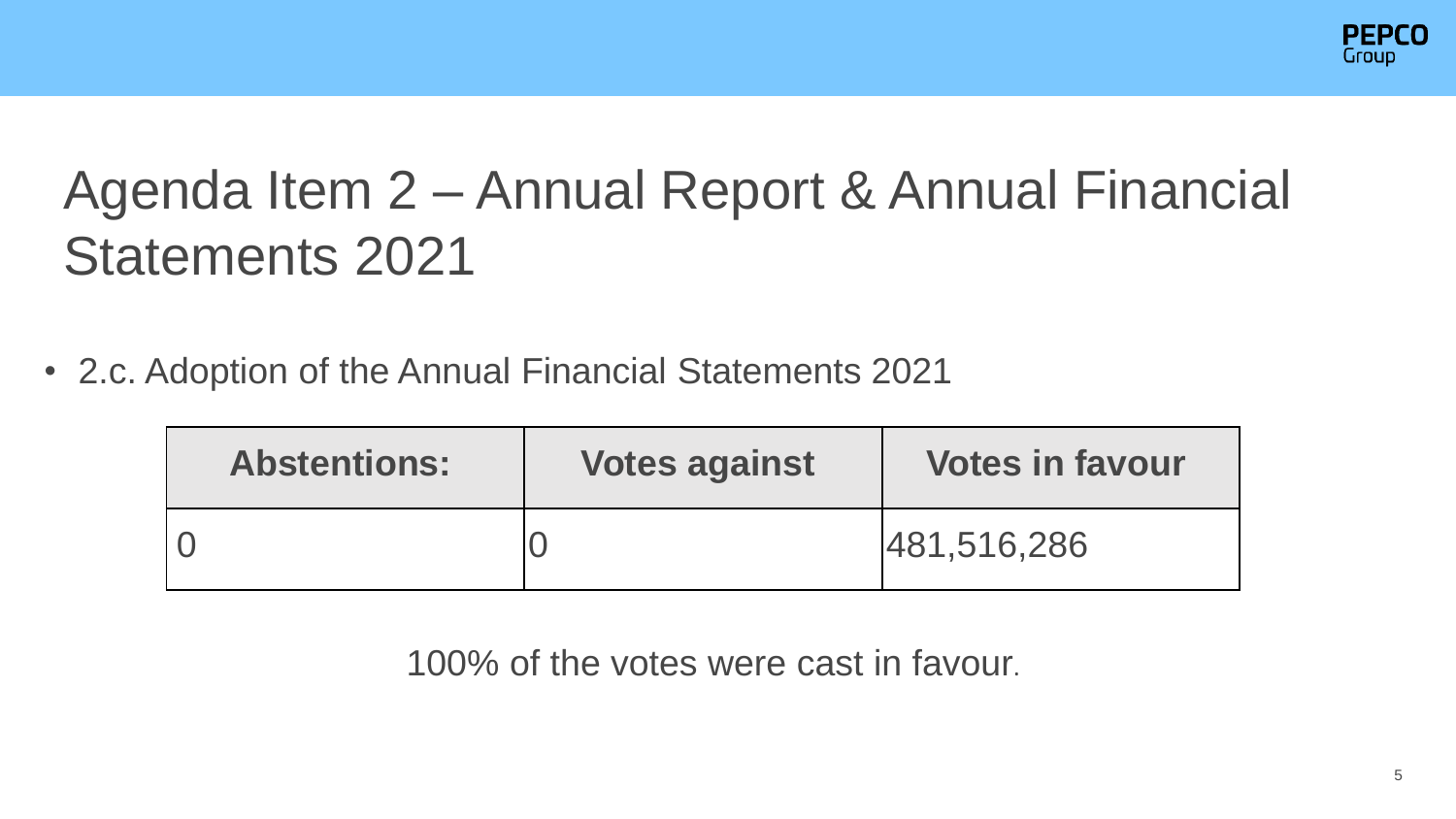

#### Agenda Item 2 – Annual Report & Annual Financial Statements 2021

• 2.c. Adoption of the Annual Financial Statements 2021

| <b>Abstentions:</b> | <b>Votes against</b> | <b>Votes in favour</b> |
|---------------------|----------------------|------------------------|
|                     |                      | 481,516,286            |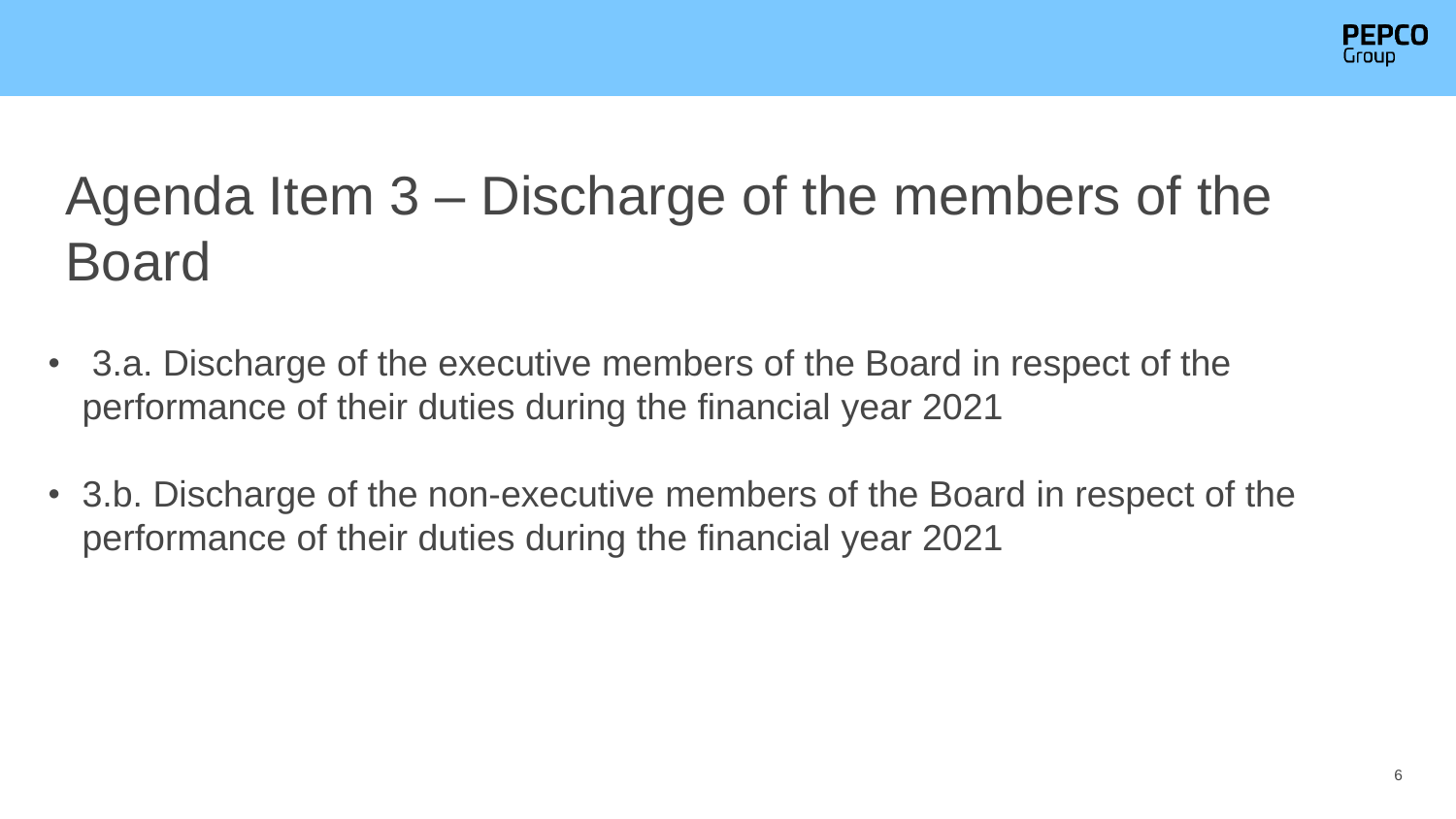

### Agenda Item 3 – Discharge of the members of the Board

- 3.a. Discharge of the executive members of the Board in respect of the performance of their duties during the financial year 2021
- 3.b. Discharge of the non-executive members of the Board in respect of the performance of their duties during the financial year 2021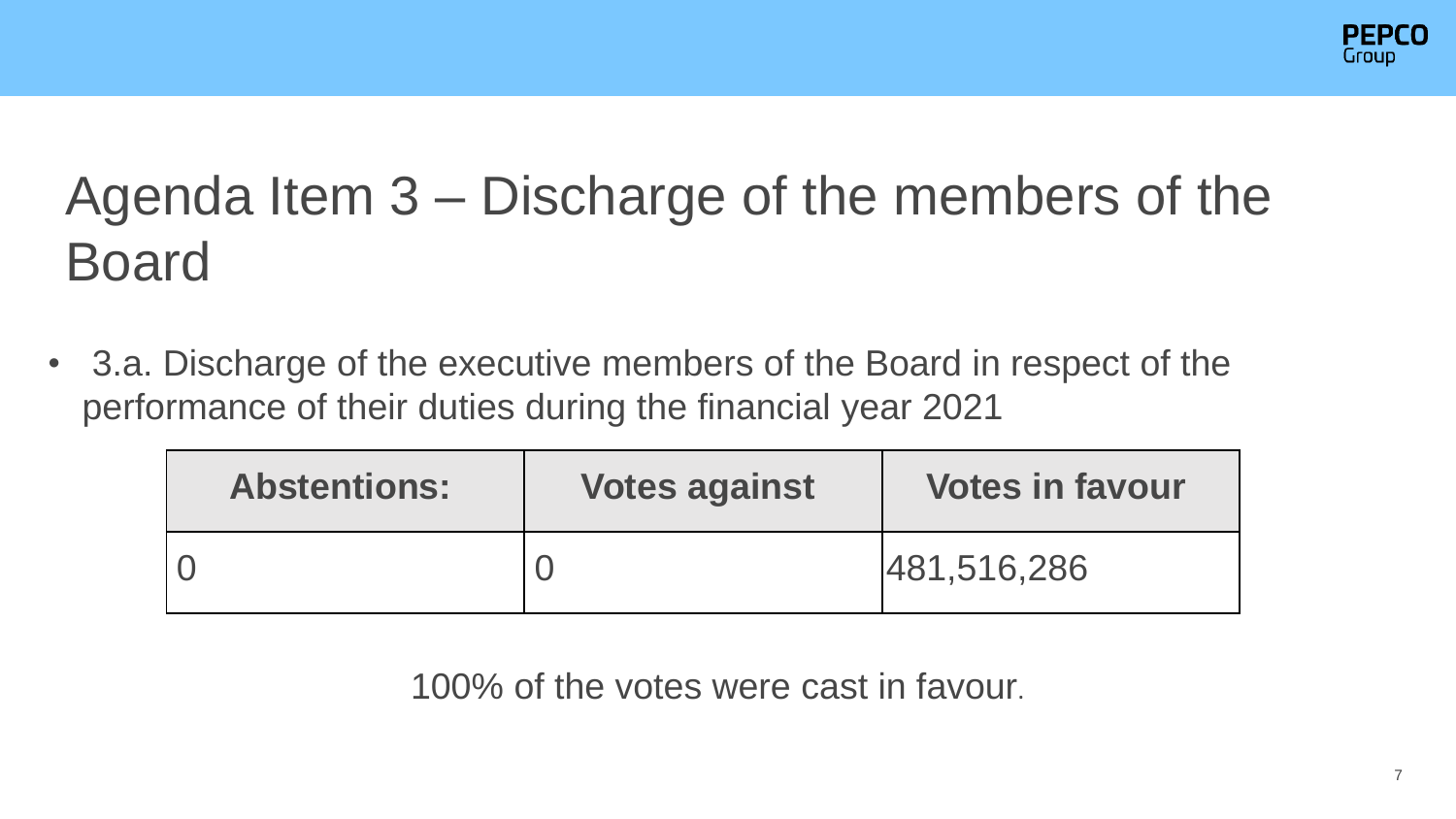

### Agenda Item 3 – Discharge of the members of the Board

• 3.a. Discharge of the executive members of the Board in respect of the performance of their duties during the financial year 2021

| <b>Abstentions:</b> | <b>Votes against</b> | <b>Votes in favour</b> |
|---------------------|----------------------|------------------------|
|                     |                      | 481,516,286            |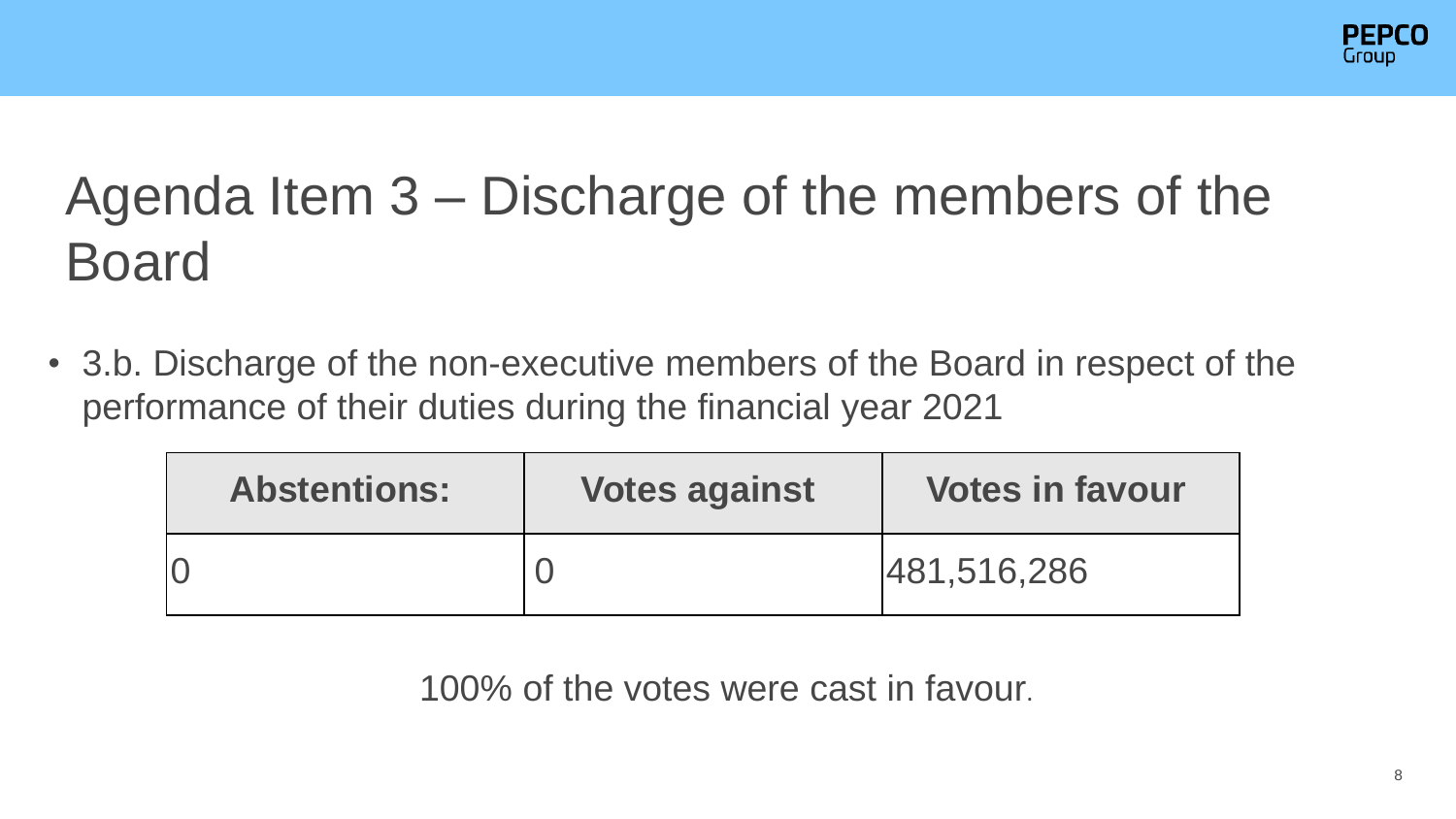

### Agenda Item 3 – Discharge of the members of the Board

• 3.b. Discharge of the non-executive members of the Board in respect of the performance of their duties during the financial year 2021

| <b>Abstentions:</b> | <b>Votes against</b> | <b>Votes in favour</b> |
|---------------------|----------------------|------------------------|
|                     |                      | 481,516,286            |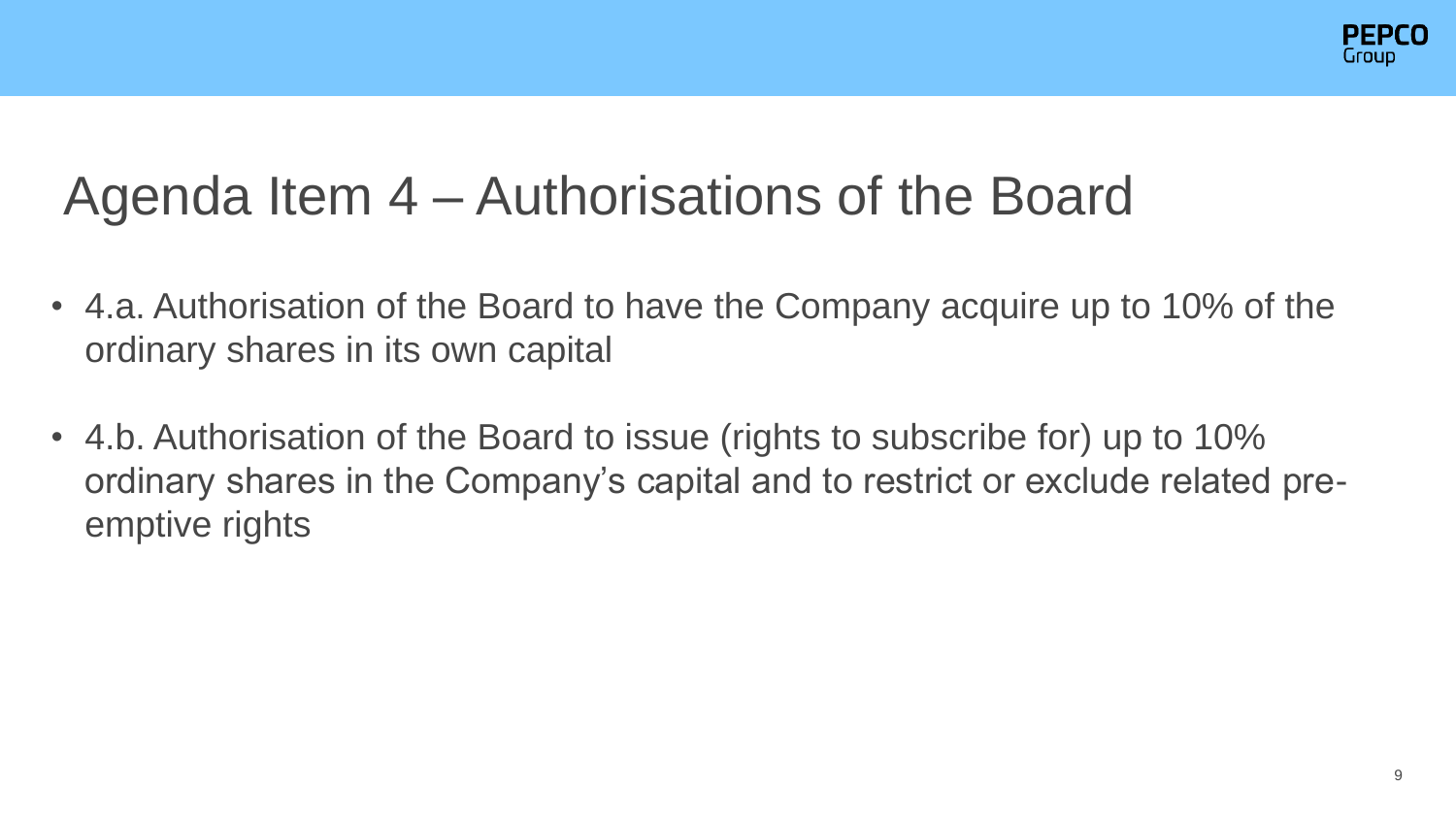

#### Agenda Item 4 – Authorisations of the Board

- 4.a. Authorisation of the Board to have the Company acquire up to 10% of the ordinary shares in its own capital
- 4.b. Authorisation of the Board to issue (rights to subscribe for) up to 10% ordinary shares in the Company's capital and to restrict or exclude related preemptive rights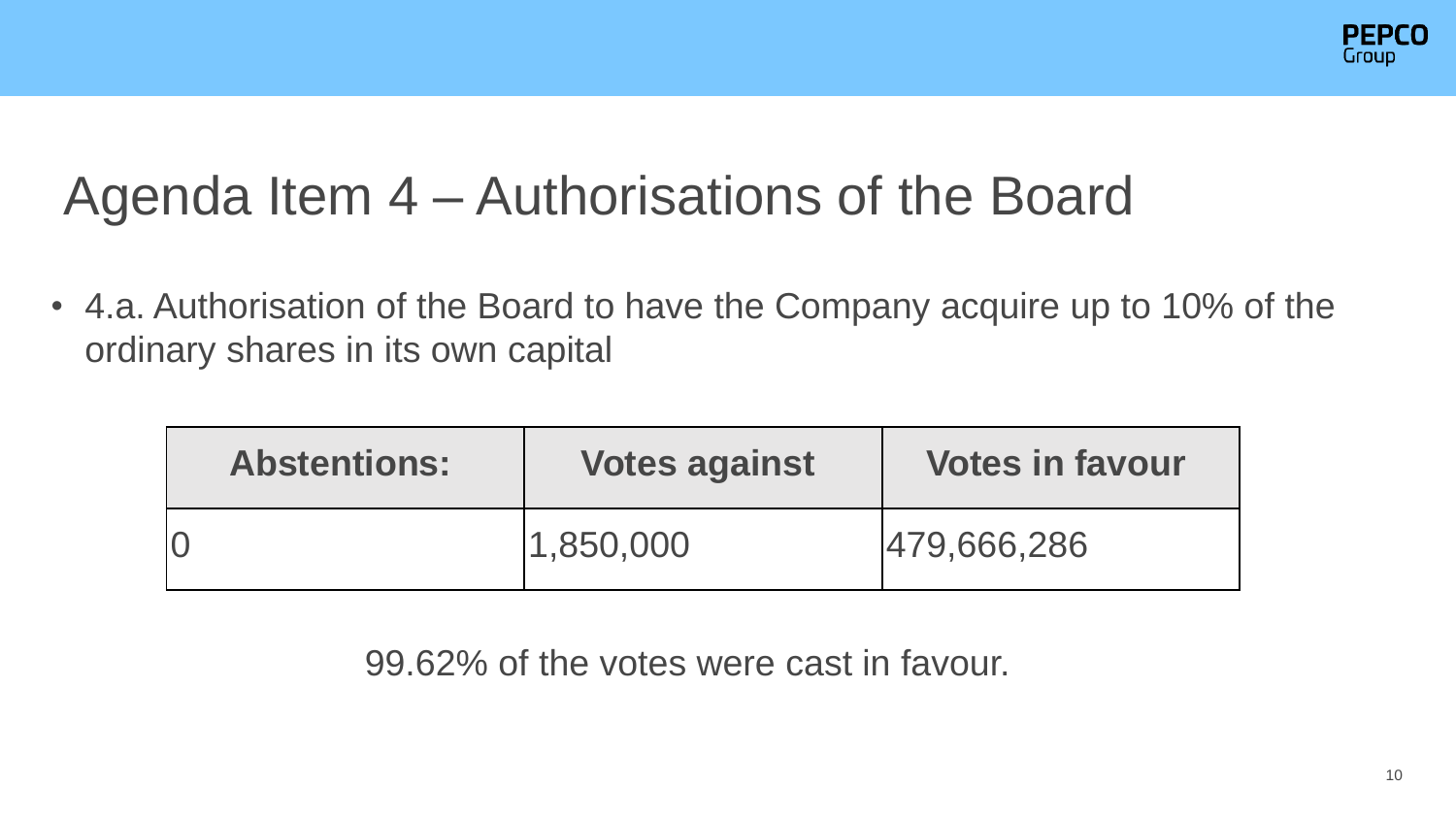

#### Agenda Item 4 – Authorisations of the Board

• 4.a. Authorisation of the Board to have the Company acquire up to 10% of the ordinary shares in its own capital

| <b>Abstentions:</b> | <b>Votes against</b> | <b>Votes in favour</b> |
|---------------------|----------------------|------------------------|
|                     | 1,850,000            | 479,666,286            |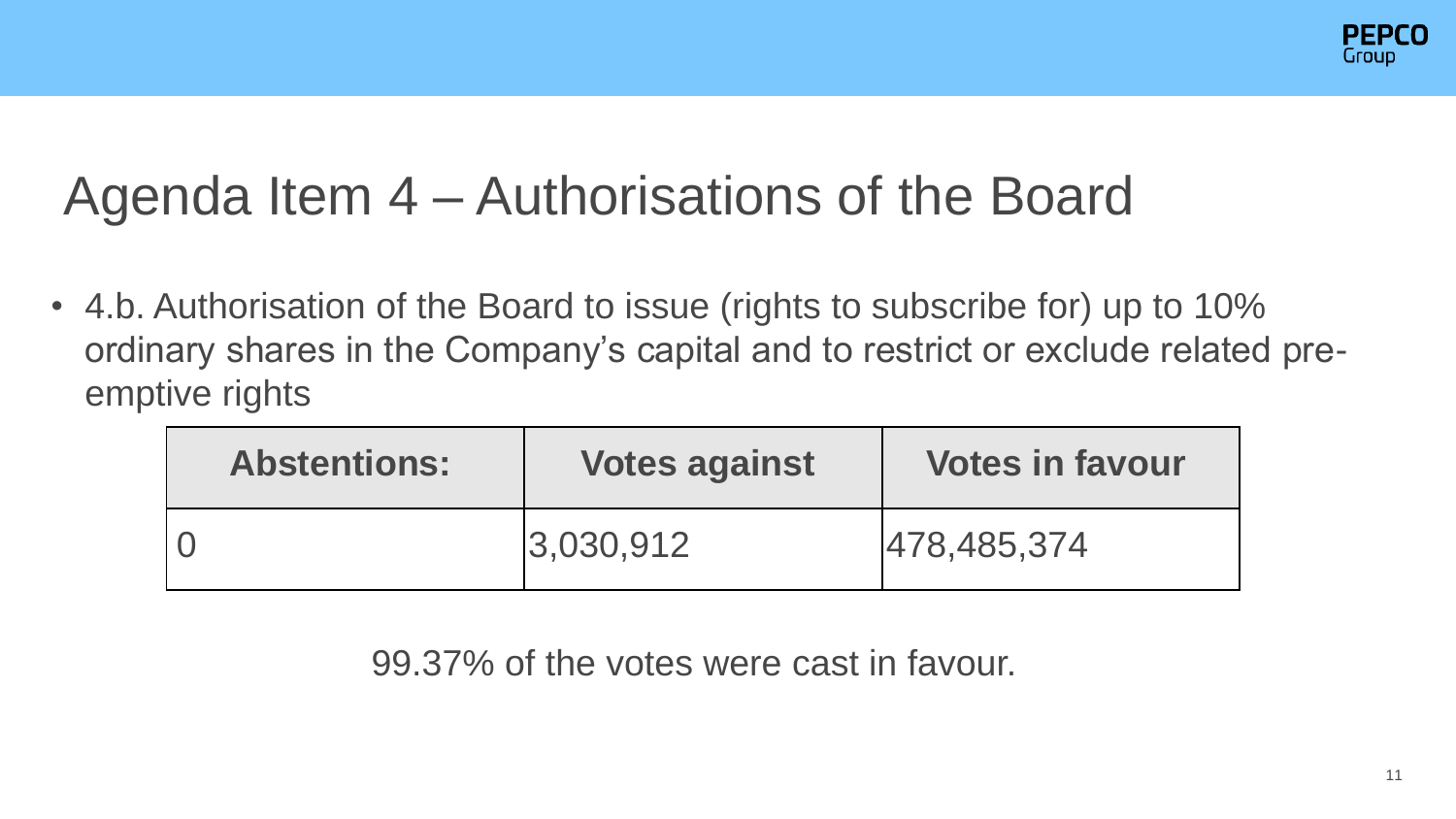

#### Agenda Item 4 – Authorisations of the Board

• 4.b. Authorisation of the Board to issue (rights to subscribe for) up to 10% ordinary shares in the Company's capital and to restrict or exclude related preemptive rights

| <b>Abstentions:</b> | <b>Votes against</b> | <b>Votes in favour</b> |
|---------------------|----------------------|------------------------|
|                     | 3,030,912            | 478,485,374            |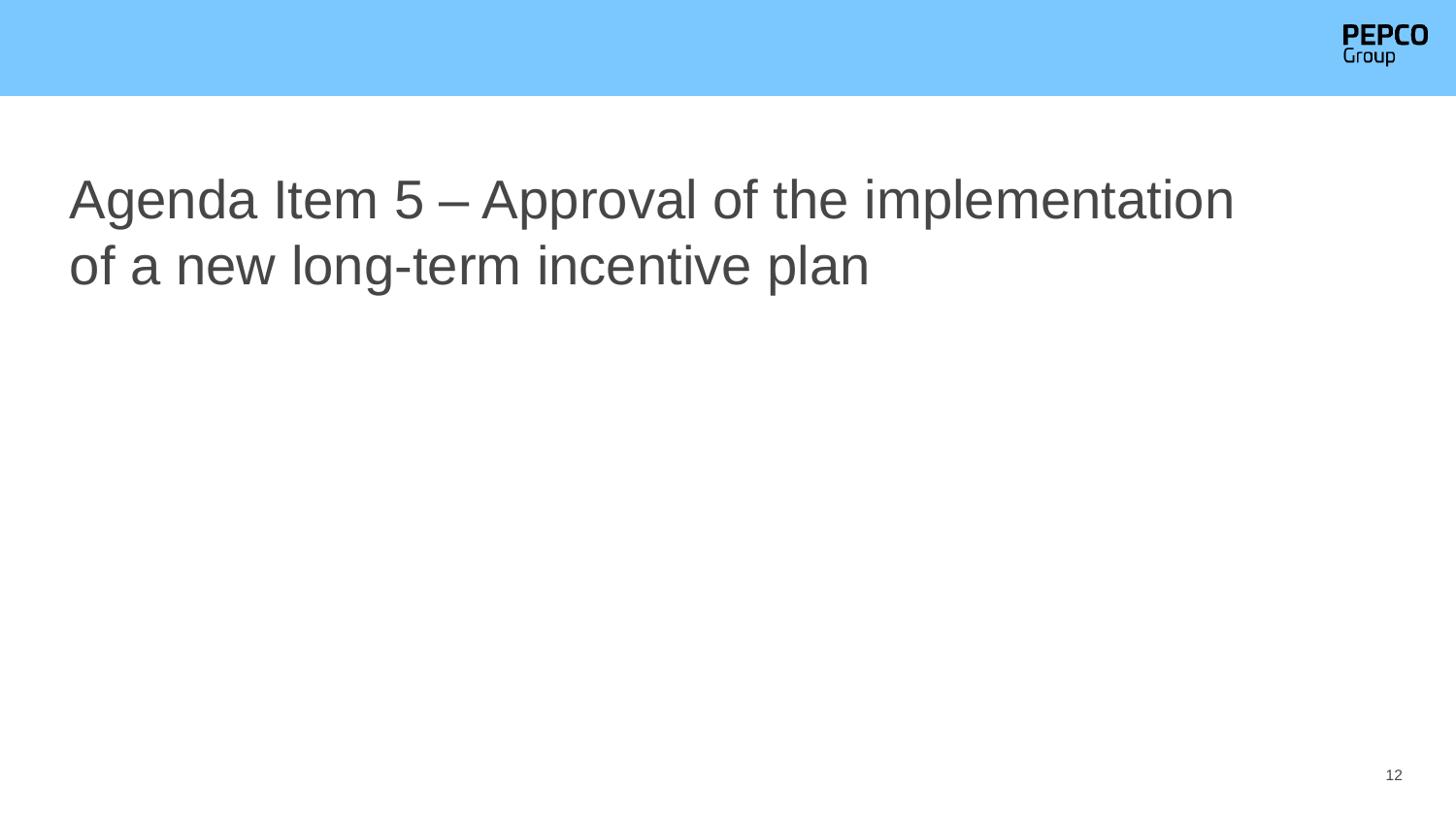

#### Agenda Item 5 – Approval of the implementation of a new long-term incentive plan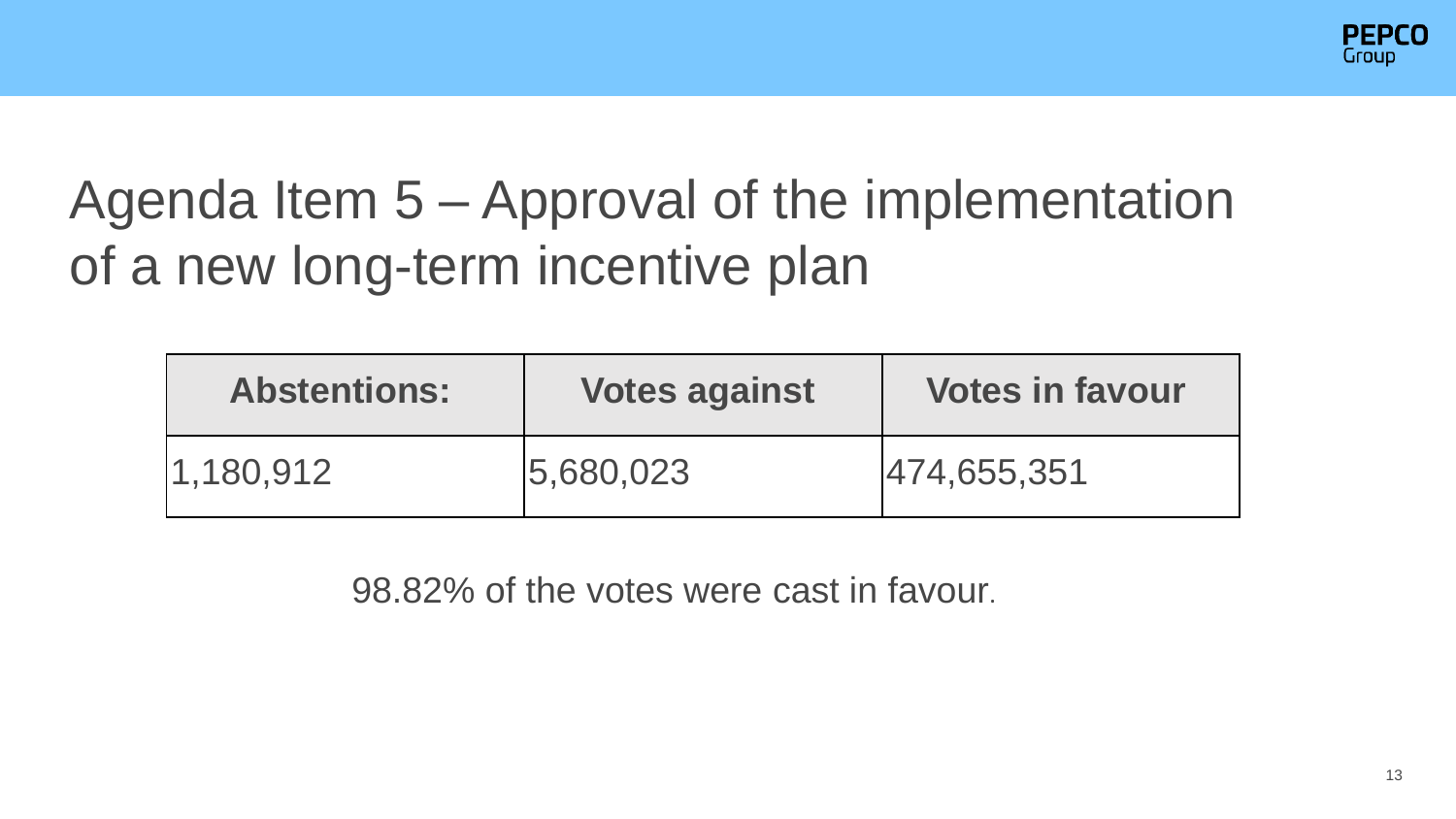

#### Agenda Item 5 – Approval of the implementation of a new long-term incentive plan

| <b>Abstentions:</b> | <b>Votes against</b> | <b>Votes in favour</b> |
|---------------------|----------------------|------------------------|
| $ 1,180,912\rangle$ | 5,680,023            | 474,655,351            |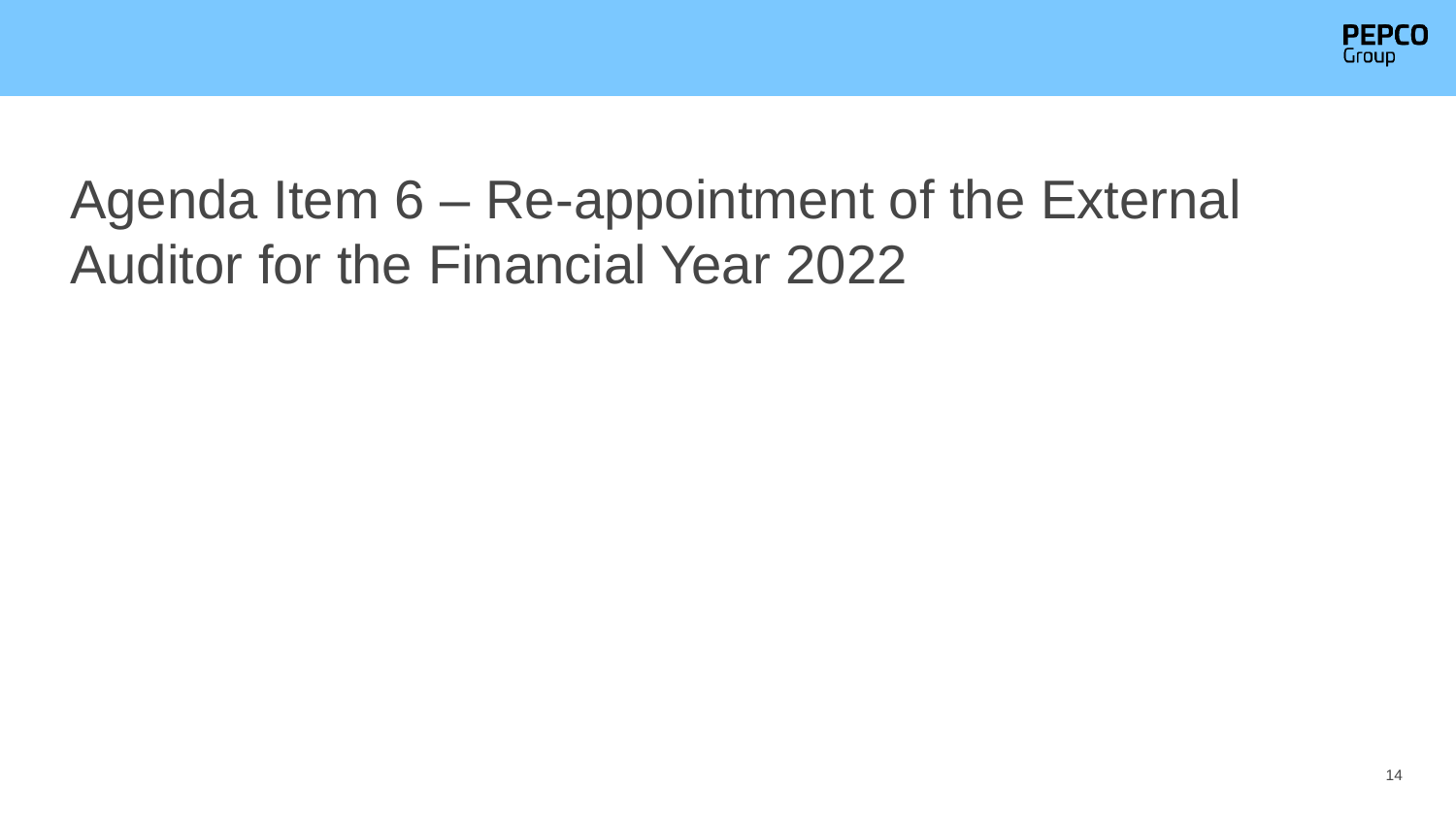

#### Agenda Item 6 – Re-appointment of the External Auditor for the Financial Year 2022